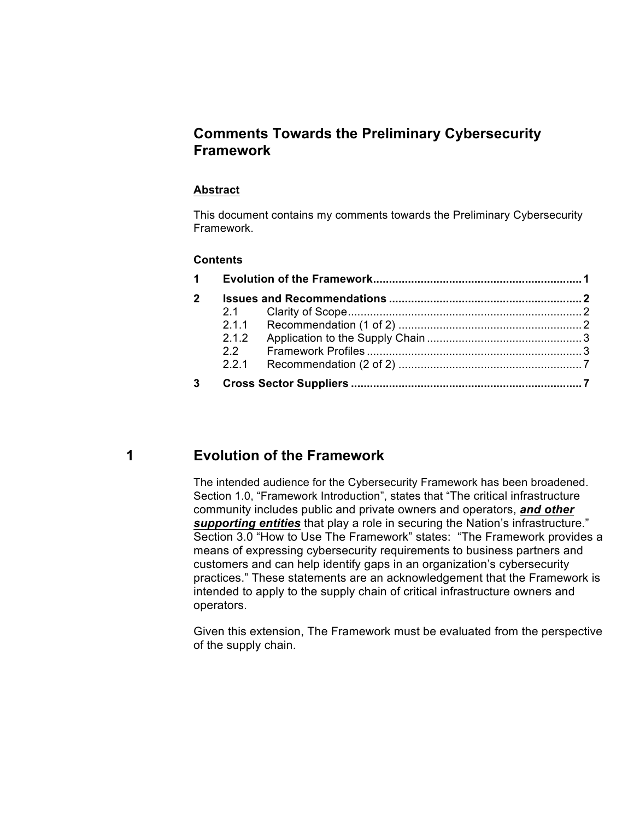## **Comments Towards the Preliminary Cybersecurity Framework**

#### **Abstract**

 This document contains my comments towards the Preliminary Cybersecurity Framework.

#### **Contents**

| $1 \quad$    |  |  |  |  |
|--------------|--|--|--|--|
| $\mathbf{2}$ |  |  |  |  |
|              |  |  |  |  |
|              |  |  |  |  |
|              |  |  |  |  |
|              |  |  |  |  |
|              |  |  |  |  |
| 3            |  |  |  |  |

**1** 

## **Evolution of the Framework**

 The intended audience for the Cybersecurity Framework has been broadened. Section 1.0, "Framework Introduction", states that "The critical infrastructure community includes public and private owners and operators, *and other*  supporting entities that play a role in securing the Nation's infrastructure." *supporting entities* that play a role in securing the Nation's infrastructure."<br>Section 3.0 "How to Use The Framework" states: "The Framework provides a means of expressing cybersecurity requirements to business partners and customers and can help identify gaps in an organization's cybersecurity practices." These statements are an acknowledgement that the Framework is intended to apply to the supply chain of critical infrastructure owners and operators. operators.<br>Given this extension, The Framework must be evaluated from the perspective

of the supply chain.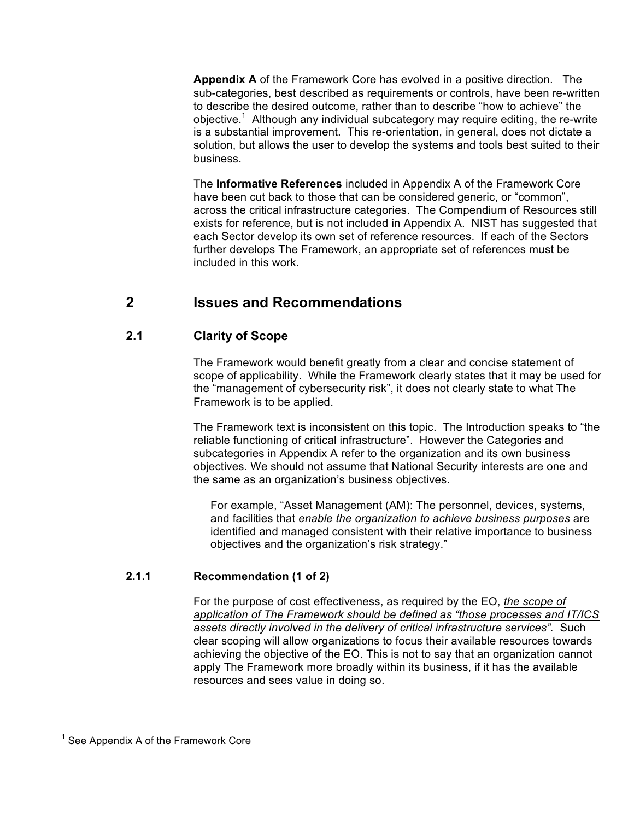**Appendix A** of the Framework Core has evolved in a positive direction. The to describe the desired outcome, rather than to describe "how to achieve" the objective.<sup>1</sup> Although any individual subcategory may require editing, the re-write is a substantial improvement. This re-orientation, in general, does not dictate a solution, but allows the user to develop the systems and tools best suited to their sub-categories, best described as requirements or controls, have been re-written business.

 The **Informative References** included in Appendix A of the Framework Core have been cut back to those that can be considered generic, or "common", across the critical infrastructure categories. The Compendium of Resources still exists for reference, but is not included in Appendix A. NIST has suggested that each Sector develop its own set of reference resources. If each of the Sectors included in this work. further develops The Framework, an appropriate set of references must be

#### **2 Issues and Recommendations**

#### **Clarity of Scope 2.1**

 The Framework would benefit greatly from a clear and concise statement of Framework is to be applied. scope of applicability. While the Framework clearly states that it may be used for the "management of cybersecurity risk", it does not clearly state to what The

 The Framework text is inconsistent on this topic. The Introduction speaks to "the reliable functioning of critical infrastructure". However the Categories and subcategories in Appendix A refer to the organization and its own business objectives. We should not assume that National Security interests are one and the same as an organization's business objectives.

 For example, "Asset Management (AM): The personnel, devices, systems, and facilities that *enable the organization to achieve business purposes* are identified and managed consistent with their relative importance to business objectives and the organization's risk strategy."

#### **2.1.1 Recommendation (1 of 2)**

 For the purpose of cost effectiveness, as required by the EO, *the scope of assets directly involved in the delivery of critical infrastructure services".* Such clear scoping will allow organizations to focus their available resources towards achieving the objective of the EO. This is not to say that an organization cannot apply The Framework more broadly within its business, if it has the available resources and sees value in doing so. *application of The Framework should be defined as "those processes and IT/ICS* 

 $<sup>1</sup>$  See Appendix A of the Framework Core</sup>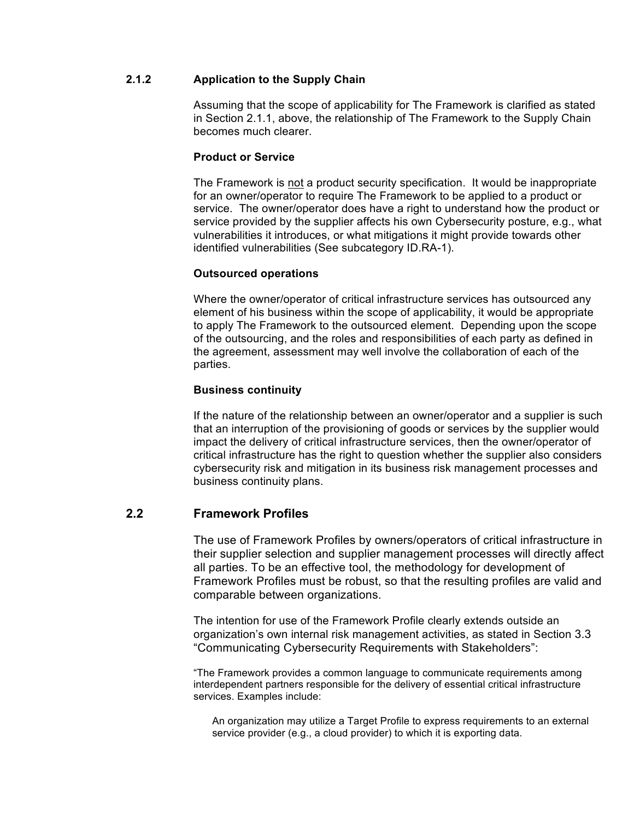## **2.1.2 Application to the Supply Chain**

 Assuming that the scope of applicability for The Framework is clarified as stated in Section 2.1.1, above, the relationship of The Framework to the Supply Chain becomes much clearer.

### **Product or Service**

 The Framework is not a product security specification. It would be inappropriate for an owner/operator to require The Framework to be applied to a product or service. The owner/operator does have a right to understand how the product or service provided by the supplier affects his own Cybersecurity posture, e.g., what vulnerabilities it introduces, or what mitigations it might provide towards other identified vulnerabilities (See subcategory ID.RA-1).

#### **Outsourced operations**

 Where the owner/operator of critical infrastructure services has outsourced any element of his business within the scope of applicability, it would be appropriate to apply The Framework to the outsourced element. Depending upon the scope of the outsourcing, and the roles and responsibilities of each party as defined in the agreement, assessment may well involve the collaboration of each of the parties.

#### **Business continuity**

 impact the delivery of critical infrastructure services, then the owner/operator of critical infrastructure has the right to question whether the supplier also considers cybersecurity risk and mitigation in its business risk management processes and business continuity plans. If the nature of the relationship between an owner/operator and a supplier is such that an interruption of the provisioning of goods or services by the supplier would

### **2.2 Framework Profiles**

 The use of Framework Profiles by owners/operators of critical infrastructure in all parties. To be an effective tool, the methodology for development of Framework Profiles must be robust, so that the resulting profiles are valid and comparable between organizations. their supplier selection and supplier management processes will directly affect

 The intention for use of the Framework Profile clearly extends outside an organization's own internal risk management activities, as stated in Section 3.3 "Communicating Cybersecurity Requirements with Stakeholders":

"Communicating Cybersecurity Requirements with Stakeholders":<br>"The Framework provides a common language to communicate requirements among interdependent partners responsible for the delivery of essential critical infrastructure services. Examples include:

 An organization may utilize a Target Profile to express requirements to an external service provider (e.g., a cloud provider) to which it is exporting data.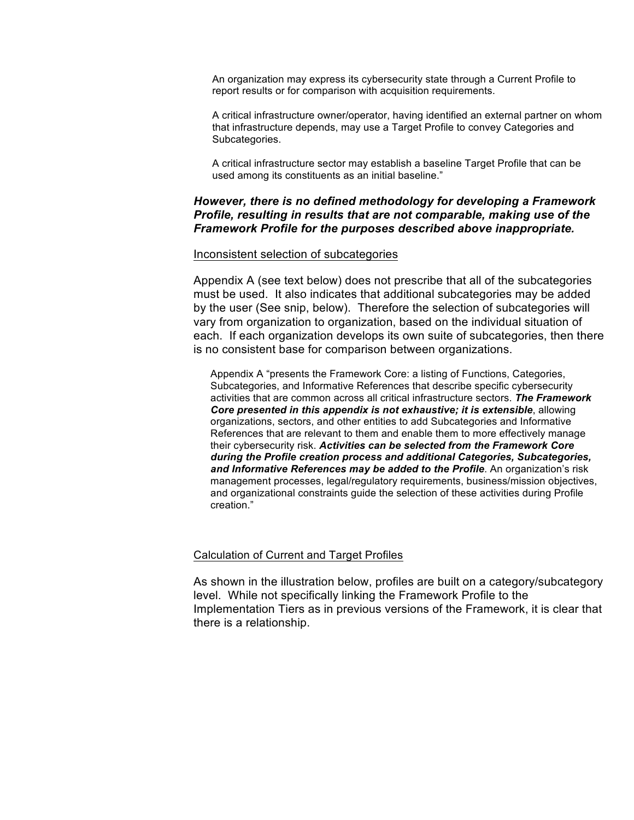An organization may express its cybersecurity state through a Current Profile to report results or for comparison with acquisition requirements.

 A critical infrastructure owner/operator, having identified an external partner on whom Subcategories. that infrastructure depends, may use a Target Profile to convey Categories and

Subcategories.<br>A critical infrastructure sector may establish a baseline Target Profile that can be used among its constituents as an initial baseline."

### *However, there is no defined methodology for developing a Framework Profile, resulting in results that are not comparable, making use of the Framework Profile for the purposes described above inappropriate.*

#### Inconsistent selection of subcategories

 Appendix A (see text below) does not prescribe that all of the subcategories must be used. It also indicates that additional subcategories may be added by the user (See snip, below). Therefore the selection of subcategories will vary from organization to organization, based on the individual situation of each. If each organization develops its own suite of subcategories, then there is no consistent base for comparison between organizations.

 Appendix A "presents the Framework Core: a listing of Functions, Categories, Subcategories, and Informative References that describe specific cybersecurity activities that are common across all critical infrastructure sectors. *The Framework Core presented in this appendix is not exhaustive; it is extensible*, allowing organizations, sectors, and other entities to add Subcategories and Informative References that are relevant to them and enable them to more effectively manage  their cybersecurity risk. *Activities can be selected from the Framework Core during the Profile creation process and additional Categories, Subcategories, and Informative References may be added to the Profile*. An organization's risk management processes, legal/regulatory requirements, business/mission objectives, and organizational constraints guide the selection of these activities during Profile creation."

#### Calculation of Current and Target Profiles

 As shown in the illustration below, profiles are built on a category/subcategory level. While not specifically linking the Framework Profile to the Implementation Tiers as in previous versions of the Framework, it is clear that there is a relationship.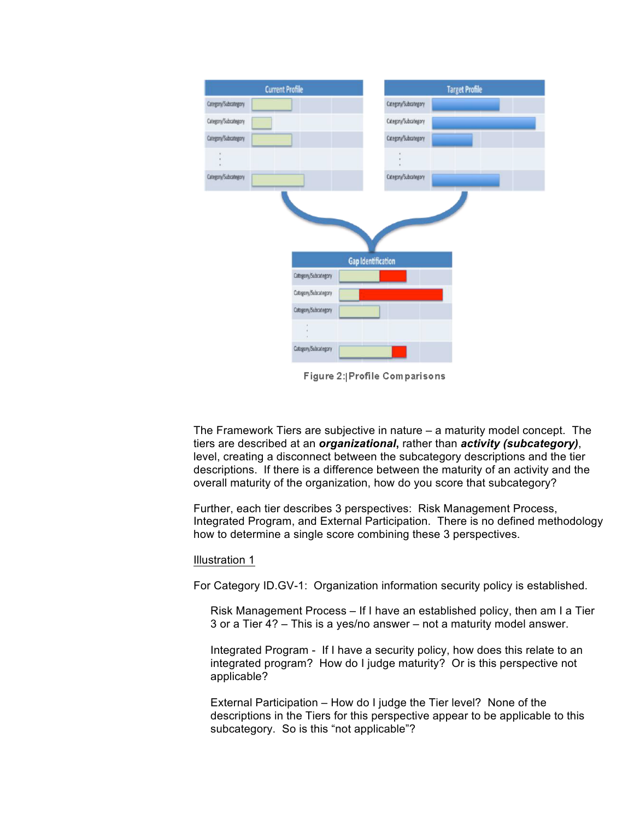| <b>Current Profile</b>    | <b>Target Profile</b> |  |  |  |
|---------------------------|-----------------------|--|--|--|
| Category/Subcategory      | Category/Subcategory  |  |  |  |
| Category/Subcategory      | Category/Subcategory  |  |  |  |
| Category/Subcategory      | Category/Subcategory  |  |  |  |
|                           |                       |  |  |  |
| Category/Subcategory      | Category/Subcategory  |  |  |  |
|                           |                       |  |  |  |
| <b>Gap Identification</b> |                       |  |  |  |
| Category/Subcategory      |                       |  |  |  |
| Category/Subcategory      |                       |  |  |  |
| Category/Subcategory      |                       |  |  |  |
|                           |                       |  |  |  |
| Category/Subcategory      |                       |  |  |  |

Figure 2: Profile Comparisons

 The Framework Tiers are subjective in nature – a maturity model concept. The level, creating a disconnect between the subcategory descriptions and the tier descriptions. If there is a difference between the maturity of an activity and the overall maturity of the organization, how do you score that subcategory? tiers are described at an *organizational***,** rather than *activity (subcategory)*,

 Further, each tier describes 3 perspectives: Risk Management Process, Integrated Program, and External Participation. There is no defined methodology how to determine a single score combining these 3 perspectives.

#### Illustration 1

For Category ID.GV-1: Organization information security policy is established.

 Risk Management Process – If I have an established policy, then am I a Tier 3 or a Tier 4? – This is a yes/no answer – not a maturity model answer.

 Integrated Program - If I have a security policy, how does this relate to an integrated program? How do I judge maturity? Or is this perspective not applicable?

 External Participation – How do I judge the Tier level? None of the descriptions in the Tiers for this perspective appear to be applicable to this subcategory. So is this "not applicable"?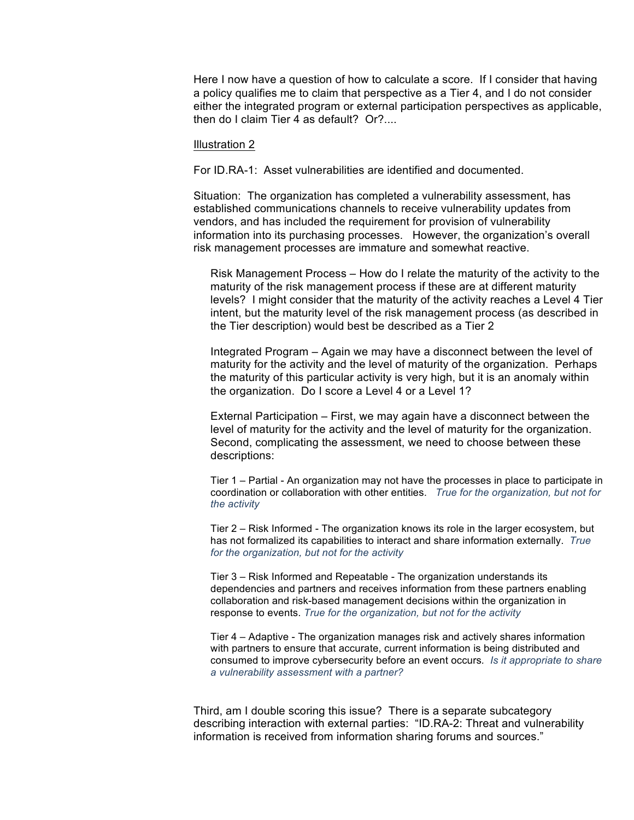Here I now have a question of how to calculate a score. If I consider that having a policy qualifies me to claim that perspective as a Tier 4, and I do not consider either the integrated program or external participation perspectives as applicable, then do I claim Tier 4 as default? Or?....

#### Illustration 2

For ID.RA-1: Asset vulnerabilities are identified and documented.

 Situation: The organization has completed a vulnerability assessment, has established communications channels to receive vulnerability updates from vendors, and has included the requirement for provision of vulnerability information into its purchasing processes. However, the organization's overall risk management processes are immature and somewhat reactive.

 Risk Management Process – How do I relate the maturity of the activity to the maturity of the risk management process if these are at different maturity levels? I might consider that the maturity of the activity reaches a Level 4 Tier intent, but the maturity level of the risk management process (as described in the Tier description) would best be described as a Tier 2

 Integrated Program – Again we may have a disconnect between the level of maturity for the activity and the level of maturity of the organization. Perhaps the maturity of this particular activity is very high, but it is an anomaly within the organization. Do I score a Level 4 or a Level 1?

 External Participation – First, we may again have a disconnect between the level of maturity for the activity and the level of maturity for the organization. Second, complicating the assessment, we need to choose between these descriptions:

 Tier 1 – Partial - An organization may not have the processes in place to participate in coordination or collaboration with other entities. *True for the organization, but not for the activity* 

 Tier 2 – Risk Informed - The organization knows its role in the larger ecosystem, but has not formalized its capabilities to interact and share information externally. *True for the organization, but not for the activity* 

 Tier 3 – Risk Informed and Repeatable - The organization understands its dependencies and partners and receives information from these partners enabling collaboration and risk-based management decisions within the organization in response to events. *True for the organization, but not for the activity* 

 Tier 4 – Adaptive - The organization manages risk and actively shares information with partners to ensure that accurate, current information is being distributed and consumed to improve cybersecurity before an event occurs*. Is it appropriate to share a vulnerability assessment with a partner?* 

 Third, am I double scoring this issue? There is a separate subcategory describing interaction with external parties: "ID.RA-2: Threat and vulnerability information is received from information sharing forums and sources."